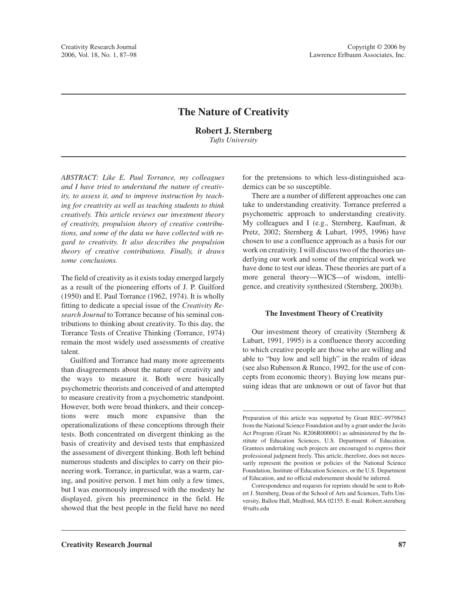# **The Nature of Creativity**

**Robert J. Sternberg** *Tufts University*

*ABSTRACT: Like E. Paul Torrance, my colleagues and I have tried to understand the nature of creativity, to assess it, and to improve instruction by teaching for creativity as well as teaching students to think creatively. This article reviews our investment theory of creativity, propulsion theory of creative contributions, and some of the data we have collected with regard to creativity. It also describes the propulsion theory of creative contributions. Finally, it draws some conclusions.*

The field of creativity as it exists today emerged largely as a result of the pioneering efforts of J. P. Guilford (1950) and E. Paul Torrance (1962, 1974). It is wholly fitting to dedicate a special issue of the *Creativity Research Journal* to Torrance because of his seminal contributions to thinking about creativity. To this day, the Torrance Tests of Creative Thinking (Torrance, 1974) remain the most widely used assessments of creative talent.

Guilford and Torrance had many more agreements than disagreements about the nature of creativity and the ways to measure it. Both were basically psychometric theorists and conceived of and attempted to measure creativity from a psychometric standpoint. However, both were broad thinkers, and their conceptions were much more expansive than the operationalizations of these conceptions through their tests. Both concentrated on divergent thinking as the basis of creativity and devised tests that emphasized the assessment of divergent thinking. Both left behind numerous students and disciples to carry on their pioneering work. Torrance, in particular, was a warm, caring, and positive person. I met him only a few times, but I was enormously impressed with the modesty he displayed, given his preeminence in the field. He showed that the best people in the field have no need for the pretensions to which less-distinguished academics can be so susceptible.

There are a number of different approaches one can take to understanding creativity. Torrance preferred a psychometric approach to understanding creativity. My colleagues and I (e.g., Sternberg, Kaufman, & Pretz, 2002; Sternberg & Lubart, 1995, 1996) have chosen to use a confluence approach as a basis for our work on creativity. I will discuss two of the theories underlying our work and some of the empirical work we have done to test our ideas. These theories are part of a more general theory—WICS—of wisdom, intelligence, and creativity synthesized (Sternberg, 2003b).

## **The Investment Theory of Creativity**

Our investment theory of creativity (Sternberg & Lubart, 1991, 1995) is a confluence theory according to which creative people are those who are willing and able to "buy low and sell high" in the realm of ideas (see also Rubenson & Runco, 1992, for the use of concepts from economic theory). Buying low means pursuing ideas that are unknown or out of favor but that

Preparation of this article was supported by Grant REC–9979843 from the National Science Foundation and by a grant under the Javits Act Program (Grant No. R206R000001) as administered by the Institute of Education Sciences, U.S. Department of Education. Grantees undertaking such projects are encouraged to express their professional judgment freely. This article, therefore, does not necessarily represent the position or policies of the National Science Foundation, Institute of Education Sciences, or the U.S. Department of Education, and no official endorsement should be inferred.

Correspondence and requests for reprints should be sent to Robert J. Sternberg, Dean of the School of Arts and Sciences, Tufts University, Ballou Hall, Medford, MA 02155. E-mail: Robert.sternberg @tufts.edu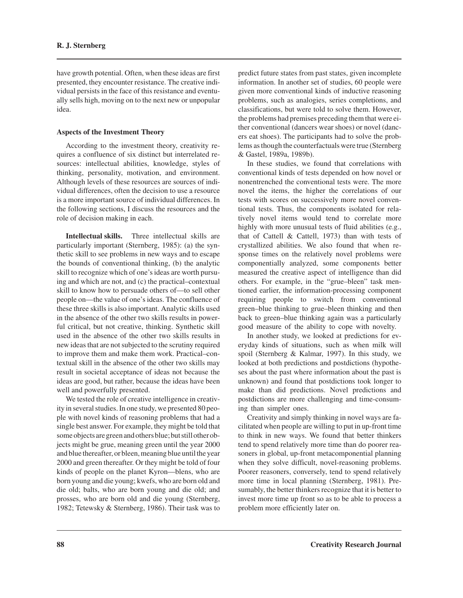have growth potential. Often, when these ideas are first presented, they encounter resistance. The creative individual persists in the face of this resistance and eventually sells high, moving on to the next new or unpopular idea.

#### **Aspects of the Investment Theory**

According to the investment theory, creativity requires a confluence of six distinct but interrelated resources: intellectual abilities, knowledge, styles of thinking, personality, motivation, and environment. Although levels of these resources are sources of individual differences, often the decision to use a resource is a more important source of individual differences. In the following sections, I discuss the resources and the role of decision making in each.

**Intellectual skills.** Three intellectual skills are particularly important (Sternberg, 1985): (a) the synthetic skill to see problems in new ways and to escape the bounds of conventional thinking, (b) the analytic skill to recognize which of one's ideas are worth pursuing and which are not, and (c) the practical–contextual skill to know how to persuade others of—to sell other people on—the value of one's ideas. The confluence of these three skills is also important. Analytic skills used in the absence of the other two skills results in powerful critical, but not creative, thinking. Synthetic skill used in the absence of the other two skills results in new ideas that are not subjected to the scrutiny required to improve them and make them work. Practical–contextual skill in the absence of the other two skills may result in societal acceptance of ideas not because the ideas are good, but rather, because the ideas have been well and powerfully presented.

We tested the role of creative intelligence in creativity in several studies. In one study, we presented 80 people with novel kinds of reasoning problems that had a single best answer. For example, they might be told that some objects are green and others blue; but still other objects might be grue, meaning green until the year 2000 and blue thereafter, or bleen, meaning blue until the year 2000 and green thereafter. Or they might be told of four kinds of people on the planet Kyron—blens, who are born young and die young; kwefs, who are born old and die old; balts, who are born young and die old; and prosses, who are born old and die young (Sternberg, 1982; Tetewsky & Sternberg, 1986). Their task was to predict future states from past states, given incomplete information. In another set of studies, 60 people were given more conventional kinds of inductive reasoning problems, such as analogies, series completions, and classifications, but were told to solve them. However, the problems had premises preceding them that were either conventional (dancers wear shoes) or novel (dancers eat shoes). The participants had to solve the problems as though the counterfactuals were true (Sternberg & Gastel, 1989a, 1989b).

In these studies, we found that correlations with conventional kinds of tests depended on how novel or nonentrenched the conventional tests were. The more novel the items, the higher the correlations of our tests with scores on successively more novel conventional tests. Thus, the components isolated for relatively novel items would tend to correlate more highly with more unusual tests of fluid abilities (e.g., that of Cattell & Cattell, 1973) than with tests of crystallized abilities. We also found that when response times on the relatively novel problems were componentially analyzed, some components better measured the creative aspect of intelligence than did others. For example, in the "grue–bleen" task mentioned earlier, the information-processing component requiring people to switch from conventional green–blue thinking to grue–bleen thinking and then back to green–blue thinking again was a particularly good measure of the ability to cope with novelty.

In another study, we looked at predictions for everyday kinds of situations, such as when milk will spoil (Sternberg & Kalmar, 1997). In this study, we looked at both predictions and postdictions (hypotheses about the past where information about the past is unknown) and found that postdictions took longer to make than did predictions. Novel predictions and postdictions are more challenging and time-consuming than simpler ones.

Creativity and simply thinking in novel ways are facilitated when people are willing to put in up-front time to think in new ways. We found that better thinkers tend to spend relatively more time than do poorer reasoners in global, up-front metacomponential planning when they solve difficult, novel-reasoning problems. Poorer reasoners, conversely, tend to spend relatively more time in local planning (Sternberg, 1981). Presumably, the better thinkers recognize that it is better to invest more time up front so as to be able to process a problem more efficiently later on.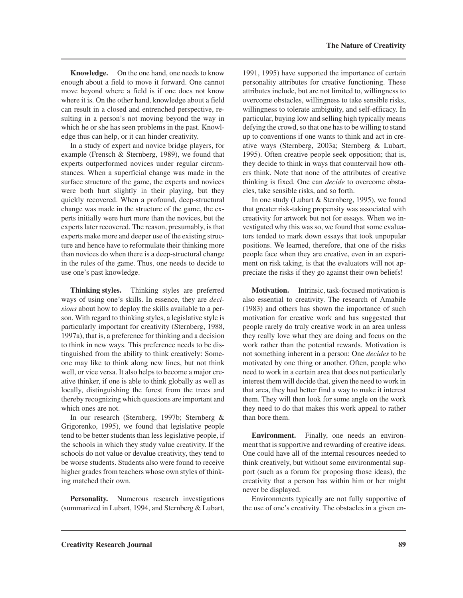**Knowledge.** On the one hand, one needs to know enough about a field to move it forward. One cannot move beyond where a field is if one does not know where it is. On the other hand, knowledge about a field can result in a closed and entrenched perspective, resulting in a person's not moving beyond the way in which he or she has seen problems in the past. Knowledge thus can help, or it can hinder creativity.

In a study of expert and novice bridge players, for example (Frensch & Sternberg, 1989), we found that experts outperformed novices under regular circumstances. When a superficial change was made in the surface structure of the game, the experts and novices were both hurt slightly in their playing, but they quickly recovered. When a profound, deep-structural change was made in the structure of the game, the experts initially were hurt more than the novices, but the experts later recovered. The reason, presumably, is that experts make more and deeper use of the existing structure and hence have to reformulate their thinking more than novices do when there is a deep-structural change in the rules of the game. Thus, one needs to decide to use one's past knowledge.

**Thinking styles.** Thinking styles are preferred ways of using one's skills. In essence, they are *decisions* about how to deploy the skills available to a person. With regard to thinking styles, a legislative style is particularly important for creativity (Sternberg, 1988, 1997a), that is, a preference for thinking and a decision to think in new ways. This preference needs to be distinguished from the ability to think creatively: Someone may like to think along new lines, but not think well, or vice versa. It also helps to become a major creative thinker, if one is able to think globally as well as locally, distinguishing the forest from the trees and thereby recognizing which questions are important and which ones are not.

In our research (Sternberg, 1997b; Sternberg & Grigorenko, 1995), we found that legislative people tend to be better students than less legislative people, if the schools in which they study value creativity. If the schools do not value or devalue creativity, they tend to be worse students. Students also were found to receive higher grades from teachers whose own styles of thinking matched their own.

Personality. Numerous research investigations (summarized in Lubart, 1994, and Sternberg & Lubart,

1991, 1995) have supported the importance of certain personality attributes for creative functioning. These attributes include, but are not limited to, willingness to overcome obstacles, willingness to take sensible risks, willingness to tolerate ambiguity, and self-efficacy. In particular, buying low and selling high typically means defying the crowd, so that one has to be willing to stand up to conventions if one wants to think and act in creative ways (Sternberg, 2003a; Sternberg & Lubart, 1995). Often creative people seek opposition; that is, they decide to think in ways that countervail how others think. Note that none of the attributes of creative thinking is fixed. One can *decide* to overcome obstacles, take sensible risks, and so forth.

In one study (Lubart & Sternberg, 1995), we found that greater risk-taking propensity was associated with creativity for artwork but not for essays. When we investigated why this was so, we found that some evaluators tended to mark down essays that took unpopular positions. We learned, therefore, that one of the risks people face when they are creative, even in an experiment on risk taking, is that the evaluators will not appreciate the risks if they go against their own beliefs!

**Motivation.** Intrinsic, task-focused motivation is also essential to creativity. The research of Amabile (1983) and others has shown the importance of such motivation for creative work and has suggested that people rarely do truly creative work in an area unless they really love what they are doing and focus on the work rather than the potential rewards. Motivation is not something inherent in a person: One *decides* to be motivated by one thing or another. Often, people who need to work in a certain area that does not particularly interest them will decide that, given the need to work in that area, they had better find a way to make it interest them. They will then look for some angle on the work they need to do that makes this work appeal to rather than bore them.

**Environment.** Finally, one needs an environment that is supportive and rewarding of creative ideas. One could have all of the internal resources needed to think creatively, but without some environmental support (such as a forum for proposing those ideas), the creativity that a person has within him or her might never be displayed.

Environments typically are not fully supportive of the use of one's creativity. The obstacles in a given en-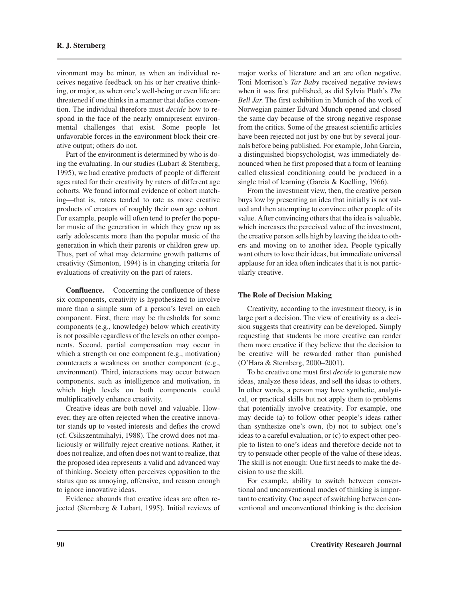vironment may be minor, as when an individual receives negative feedback on his or her creative thinking, or major, as when one's well-being or even life are threatened if one thinks in a manner that defies convention. The individual therefore must *decide* how to respond in the face of the nearly omnipresent environmental challenges that exist. Some people let unfavorable forces in the environment block their creative output; others do not.

Part of the environment is determined by who is doing the evaluating. In our studies (Lubart & Sternberg, 1995), we had creative products of people of different ages rated for their creativity by raters of different age cohorts. We found informal evidence of cohort matching—that is, raters tended to rate as more creative products of creators of roughly their own age cohort. For example, people will often tend to prefer the popular music of the generation in which they grew up as early adolescents more than the popular music of the generation in which their parents or children grew up. Thus, part of what may determine growth patterns of creativity (Simonton, 1994) is in changing criteria for evaluations of creativity on the part of raters.

**Confluence.** Concerning the confluence of these six components, creativity is hypothesized to involve more than a simple sum of a person's level on each component. First, there may be thresholds for some components (e.g., knowledge) below which creativity is not possible regardless of the levels on other components. Second, partial compensation may occur in which a strength on one component (e.g., motivation) counteracts a weakness on another component (e.g., environment). Third, interactions may occur between components, such as intelligence and motivation, in which high levels on both components could multiplicatively enhance creativity.

Creative ideas are both novel and valuable. However, they are often rejected when the creative innovator stands up to vested interests and defies the crowd (cf. Csikszentmihalyi, 1988). The crowd does not maliciously or willfully reject creative notions. Rather, it does not realize, and often does not want to realize, that the proposed idea represents a valid and advanced way of thinking. Society often perceives opposition to the status quo as annoying, offensive, and reason enough to ignore innovative ideas.

Evidence abounds that creative ideas are often rejected (Sternberg & Lubart, 1995). Initial reviews of major works of literature and art are often negative. Toni Morrison's *Tar Baby* received negative reviews when it was first published, as did Sylvia Plath's *The Bell Jar*. The first exhibition in Munich of the work of Norwegian painter Edvard Munch opened and closed the same day because of the strong negative response from the critics. Some of the greatest scientific articles have been rejected not just by one but by several journals before being published. For example, John Garcia, a distinguished biopsychologist, was immediately denounced when he first proposed that a form of learning called classical conditioning could be produced in a single trial of learning (Garcia & Koelling, 1966).

From the investment view, then, the creative person buys low by presenting an idea that initially is not valued and then attempting to convince other people of its value. After convincing others that the idea is valuable, which increases the perceived value of the investment, the creative person sells high by leaving the idea to others and moving on to another idea. People typically want others to love their ideas, but immediate universal applause for an idea often indicates that it is not particularly creative.

#### **The Role of Decision Making**

Creativity, according to the investment theory, is in large part a decision. The view of creativity as a decision suggests that creativity can be developed. Simply requesting that students be more creative can render them more creative if they believe that the decision to be creative will be rewarded rather than punished (O'Hara & Sternberg, 2000–2001).

To be creative one must first *decide* to generate new ideas, analyze these ideas, and sell the ideas to others. In other words, a person may have synthetic, analytical, or practical skills but not apply them to problems that potentially involve creativity. For example, one may decide (a) to follow other people's ideas rather than synthesize one's own, (b) not to subject one's ideas to a careful evaluation, or (c) to expect other people to listen to one's ideas and therefore decide not to try to persuade other people of the value of these ideas. The skill is not enough: One first needs to make the decision to use the skill.

For example, ability to switch between conventional and unconventional modes of thinking is important to creativity. One aspect of switching between conventional and unconventional thinking is the decision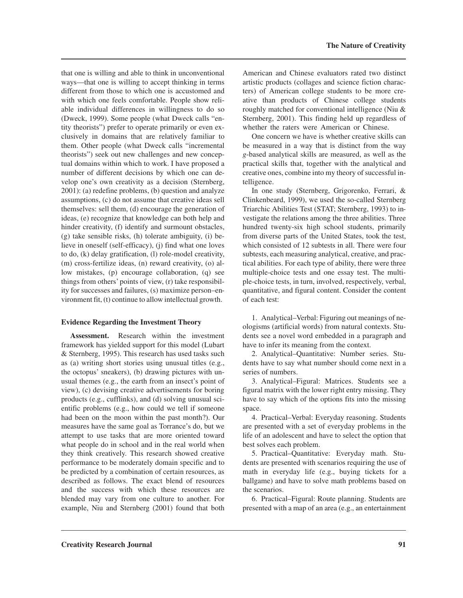that one is willing and able to think in unconventional ways—that one is willing to accept thinking in terms different from those to which one is accustomed and with which one feels comfortable. People show reliable individual differences in willingness to do so (Dweck, 1999). Some people (what Dweck calls "entity theorists") prefer to operate primarily or even exclusively in domains that are relatively familiar to them. Other people (what Dweck calls "incremental theorists") seek out new challenges and new conceptual domains within which to work. I have proposed a number of different decisions by which one can develop one's own creativity as a decision (Sternberg, 2001): (a) redefine problems, (b) question and analyze assumptions, (c) do not assume that creative ideas sell themselves: sell them, (d) encourage the generation of ideas, (e) recognize that knowledge can both help and hinder creativity, (f) identify and surmount obstacles, (g) take sensible risks, (h) tolerate ambiguity, (i) believe in oneself (self-efficacy), (j) find what one loves to do, (k) delay gratification, (l) role-model creativity, (m) cross-fertilize ideas, (n) reward creativity, (o) allow mistakes, (p) encourage collaboration, (q) see things from others' points of view, (r) take responsibility for successes and failures, (s) maximize person–environment fit, (t) continue to allow intellectual growth.

### **Evidence Regarding the Investment Theory**

**Assessment.** Research within the investment framework has yielded support for this model (Lubart & Sternberg, 1995). This research has used tasks such as (a) writing short stories using unusual titles (e.g., the octopus' sneakers), (b) drawing pictures with unusual themes (e.g., the earth from an insect's point of view), (c) devising creative advertisements for boring products (e.g., cufflinks), and (d) solving unusual scientific problems (e.g., how could we tell if someone had been on the moon within the past month?). Our measures have the same goal as Torrance's do, but we attempt to use tasks that are more oriented toward what people do in school and in the real world when they think creatively. This research showed creative performance to be moderately domain specific and to be predicted by a combination of certain resources, as described as follows. The exact blend of resources and the success with which these resources are blended may vary from one culture to another. For example, Niu and Sternberg (2001) found that both

American and Chinese evaluators rated two distinct artistic products (collages and science fiction characters) of American college students to be more creative than products of Chinese college students roughly matched for conventional intelligence (Niu & Sternberg, 2001). This finding held up regardless of whether the raters were American or Chinese.

One concern we have is whether creative skills can be measured in a way that is distinct from the way *g*-based analytical skills are measured, as well as the practical skills that, together with the analytical and creative ones, combine into my theory of successful intelligence.

In one study (Sternberg, Grigorenko, Ferrari, & Clinkenbeard, 1999), we used the so-called Sternberg Triarchic Abilities Test (STAT; Sternberg, 1993) to investigate the relations among the three abilities. Three hundred twenty-six high school students, primarily from diverse parts of the United States, took the test, which consisted of 12 subtests in all. There were four subtests, each measuring analytical, creative, and practical abilities. For each type of ability, there were three multiple-choice tests and one essay test. The multiple-choice tests, in turn, involved, respectively, verbal, quantitative, and figural content. Consider the content of each test:

1. Analytical–Verbal: Figuring out meanings of neologisms (artificial words) from natural contexts. Students see a novel word embedded in a paragraph and have to infer its meaning from the context.

2. Analytical–Quantitative: Number series. Students have to say what number should come next in a series of numbers.

3. Analytical–Figural: Matrices. Students see a figural matrix with the lower right entry missing. They have to say which of the options fits into the missing space.

4. Practical–Verbal: Everyday reasoning. Students are presented with a set of everyday problems in the life of an adolescent and have to select the option that best solves each problem.

5. Practical–Quantitative: Everyday math. Students are presented with scenarios requiring the use of math in everyday life (e.g., buying tickets for a ballgame) and have to solve math problems based on the scenarios.

6. Practical–Figural: Route planning. Students are presented with a map of an area (e.g., an entertainment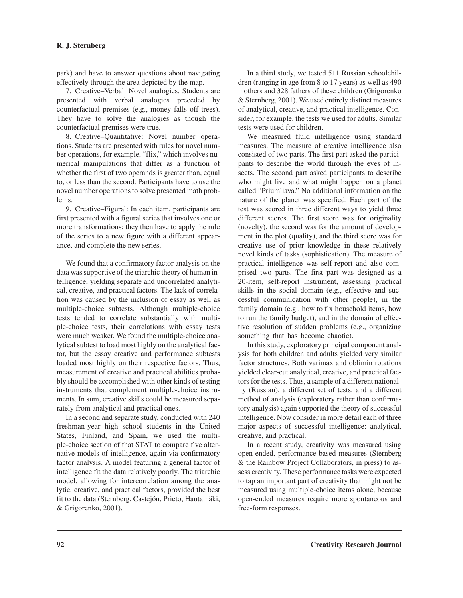park) and have to answer questions about navigating effectively through the area depicted by the map.

7. Creative–Verbal: Novel analogies. Students are presented with verbal analogies preceded by counterfactual premises (e.g., money falls off trees). They have to solve the analogies as though the counterfactual premises were true.

8. Creative–Quantitative: Novel number operations. Students are presented with rules for novel number operations, for example, "flix," which involves numerical manipulations that differ as a function of whether the first of two operands is greater than, equal to, or less than the second. Participants have to use the novel number operations to solve presented math problems.

9. Creative–Figural: In each item, participants are first presented with a figural series that involves one or more transformations; they then have to apply the rule of the series to a new figure with a different appearance, and complete the new series.

We found that a confirmatory factor analysis on the data was supportive of the triarchic theory of human intelligence, yielding separate and uncorrelated analytical, creative, and practical factors. The lack of correlation was caused by the inclusion of essay as well as multiple-choice subtests. Although multiple-choice tests tended to correlate substantially with multiple-choice tests, their correlations with essay tests were much weaker. We found the multiple-choice analytical subtest to load most highly on the analytical factor, but the essay creative and performance subtests loaded most highly on their respective factors. Thus, measurement of creative and practical abilities probably should be accomplished with other kinds of testing instruments that complement multiple-choice instruments. In sum, creative skills could be measured separately from analytical and practical ones.

In a second and separate study, conducted with 240 freshman-year high school students in the United States, Finland, and Spain, we used the multiple-choice section of that STAT to compare five alternative models of intelligence, again via confirmatory factor analysis. A model featuring a general factor of intelligence fit the data relatively poorly. The triarchic model, allowing for intercorrelation among the analytic, creative, and practical factors, provided the best fit to the data (Sternberg, Castejón, Prieto, Hautamäki, & Grigorenko, 2001).

In a third study, we tested 511 Russian schoolchildren (ranging in age from 8 to 17 years) as well as 490 mothers and 328 fathers of these children (Grigorenko & Sternberg, 2001). We used entirely distinct measures of analytical, creative, and practical intelligence. Consider, for example, the tests we used for adults. Similar tests were used for children.

We measured fluid intelligence using standard measures. The measure of creative intelligence also consisted of two parts. The first part asked the participants to describe the world through the eyes of insects. The second part asked participants to describe who might live and what might happen on a planet called "Priumliava." No additional information on the nature of the planet was specified. Each part of the test was scored in three different ways to yield three different scores. The first score was for originality (novelty), the second was for the amount of development in the plot (quality), and the third score was for creative use of prior knowledge in these relatively novel kinds of tasks (sophistication). The measure of practical intelligence was self-report and also comprised two parts. The first part was designed as a 20-item, self-report instrument, assessing practical skills in the social domain (e.g., effective and successful communication with other people), in the family domain (e.g., how to fix household items, how to run the family budget), and in the domain of effective resolution of sudden problems (e.g., organizing something that has become chaotic).

In this study, exploratory principal component analysis for both children and adults yielded very similar factor structures. Both varimax and oblimin rotations yielded clear-cut analytical, creative, and practical factors for the tests. Thus, a sample of a different nationality (Russian), a different set of tests, and a different method of analysis (exploratory rather than confirmatory analysis) again supported the theory of successful intelligence. Now consider in more detail each of three major aspects of successful intelligence: analytical, creative, and practical.

In a recent study, creativity was measured using open-ended, performance-based measures (Sternberg & the Rainbow Project Collaborators, in press) to assess creativity. These performance tasks were expected to tap an important part of creativity that might not be measured using multiple-choice items alone, because open-ended measures require more spontaneous and free-form responses.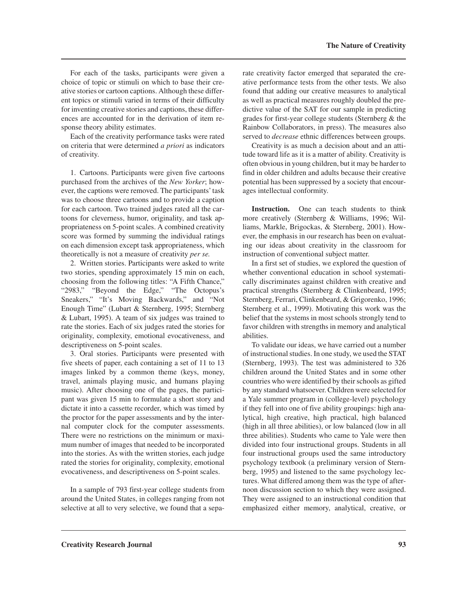For each of the tasks, participants were given a choice of topic or stimuli on which to base their creative stories or cartoon captions. Although these different topics or stimuli varied in terms of their difficulty for inventing creative stories and captions, these differences are accounted for in the derivation of item response theory ability estimates.

Each of the creativity performance tasks were rated on criteria that were determined *a priori* as indicators of creativity.

1. Cartoons. Participants were given five cartoons purchased from the archives of the *New Yorker*; however, the captions were removed. The participants' task was to choose three cartoons and to provide a caption for each cartoon. Two trained judges rated all the cartoons for cleverness, humor, originality, and task appropriateness on 5-point scales. A combined creativity score was formed by summing the individual ratings on each dimension except task appropriateness, which theoretically is not a measure of creativity *per se.*

2. Written stories. Participants were asked to write two stories, spending approximately 15 min on each, choosing from the following titles: "A Fifth Chance," "2983," "Beyond the Edge," "The Octopus's Sneakers," "It's Moving Backwards," and "Not Enough Time" (Lubart & Sternberg, 1995; Sternberg & Lubart, 1995). A team of six judges was trained to rate the stories. Each of six judges rated the stories for originality, complexity, emotional evocativeness, and descriptiveness on 5-point scales.

3. Oral stories. Participants were presented with five sheets of paper, each containing a set of 11 to 13 images linked by a common theme (keys, money, travel, animals playing music, and humans playing music). After choosing one of the pages, the participant was given 15 min to formulate a short story and dictate it into a cassette recorder, which was timed by the proctor for the paper assessments and by the internal computer clock for the computer assessments. There were no restrictions on the minimum or maximum number of images that needed to be incorporated into the stories. As with the written stories, each judge rated the stories for originality, complexity, emotional evocativeness, and descriptiveness on 5-point scales.

In a sample of 793 first-year college students from around the United States, in colleges ranging from not selective at all to very selective, we found that a separate creativity factor emerged that separated the creative performance tests from the other tests. We also found that adding our creative measures to analytical as well as practical measures roughly doubled the predictive value of the SAT for our sample in predicting grades for first-year college students (Sternberg & the Rainbow Collaborators, in press). The measures also served to *decrease* ethnic differences between groups.

Creativity is as much a decision about and an attitude toward life as it is a matter of ability. Creativity is often obvious in young children, but it may be harder to find in older children and adults because their creative potential has been suppressed by a society that encourages intellectual conformity.

**Instruction.** One can teach students to think more creatively (Sternberg & Williams, 1996; Williams, Markle, Brigockas, & Sternberg, 2001). However, the emphasis in our research has been on evaluating our ideas about creativity in the classroom for instruction of conventional subject matter.

In a first set of studies, we explored the question of whether conventional education in school systematically discriminates against children with creative and practical strengths (Sternberg & Clinkenbeard, 1995; Sternberg, Ferrari, Clinkenbeard, & Grigorenko, 1996; Sternberg et al., 1999). Motivating this work was the belief that the systems in most schools strongly tend to favor children with strengths in memory and analytical abilities.

To validate our ideas, we have carried out a number of instructional studies. In one study, we used the STAT (Sternberg, 1993). The test was administered to 326 children around the United States and in some other countries who were identified by their schools as gifted by any standard whatsoever. Children were selected for a Yale summer program in (college-level) psychology if they fell into one of five ability groupings: high analytical, high creative, high practical, high balanced (high in all three abilities), or low balanced (low in all three abilities). Students who came to Yale were then divided into four instructional groups. Students in all four instructional groups used the same introductory psychology textbook (a preliminary version of Sternberg, 1995) and listened to the same psychology lectures. What differed among them was the type of afternoon discussion section to which they were assigned. They were assigned to an instructional condition that emphasized either memory, analytical, creative, or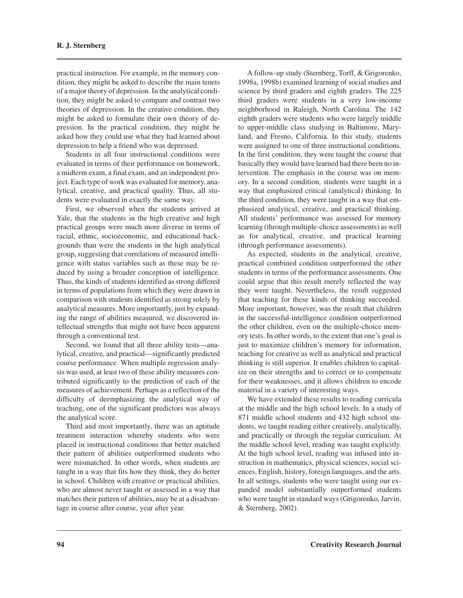practical instruction. For example, in the memory condition, they might be asked to describe the main tenets of a major theory of depression. In the analytical condition, they might be asked to compare and contrast two theories of depression. In the creative condition, they might be asked to formulate their own theory of depression. In the practical condition, they might be asked how they could use what they had learned about depression to help a friend who was depressed.

Students in all four instructional conditions were evaluated in terms of their performance on homework, a midterm exam, a final exam, and an independent project. Each type of work was evaluated for memory, analytical, creative, and practical quality. Thus, all students were evaluated in exactly the same way.

First, we observed when the students arrived at Yale, that the students in the high creative and high practical groups were much more diverse in terms of racial, ethnic, socioeconomic, and educational backgrounds than were the students in the high analytical group, suggesting that correlations of measured intelligence with status variables such as these may be reduced by using a broader conception of intelligence. Thus, the kinds of students identified as strong differed in terms of populations from which they were drawn in comparison with students identified as strong solely by analytical measures. More importantly, just by expanding the range of abilities measured, we discovered intellectual strengths that might not have been apparent through a conventional test.

Second, we found that all three ability tests—analytical, creative, and practical—significantly predicted course performance. When multiple regression analysis was used, at least two of these ability measures contributed significantly to the prediction of each of the measures of achievement. Perhaps as a reflection of the difficulty of deemphasizing the analytical way of teaching, one of the significant predictors was always the analytical score.

Third and most importantly, there was an aptitude treatment interaction whereby students who were placed in instructional conditions that better matched their pattern of abilities outperformed students who were mismatched. In other words, when students are taught in a way that fits how they think, they do better in school. Children with creative or practical abilities, who are almost never taught or assessed in a way that matches their pattern of abilities, may be at a disadvantage in course after course, year after year.

A follow-up study (Sternberg, Torff, & Grigorenko, 1998a, 1998b) examined learning of social studies and science by third graders and eighth graders. The 225 third graders were students in a very low-income neighborhood in Raleigh, North Carolina. The 142 eighth graders were students who were largely middle to upper-middle class studying in Baltimore, Maryland, and Fresno, California. In this study, students were assigned to one of three instructional conditions. In the first condition, they were taught the course that basically they would have learned had there been no intervention. The emphasis in the course was on memory. In a second condition, students were taught in a way that emphasized critical (analytical) thinking. In the third condition, they were taught in a way that emphasized analytical, creative, and practical thinking. All students' performance was assessed for memory learning (through multiple-choice assessments) as well as for analytical, creative, and practical learning (through performance assessments).

As expected, students in the analytical, creative, practical combined condition outperformed the other students in terms of the performance assessments. One could argue that this result merely reflected the way they were taught. Nevertheless, the result suggested that teaching for these kinds of thinking succeeded. More important, however, was the result that children in the successful-intelligence condition outperformed the other children, even on the multiple-choice memory tests. In other words, to the extent that one's goal is just to maximize children's memory for information, teaching for creative as well as analytical and practical thinking is still superior. It enables children to capitalize on their strengths and to correct or to compensate for their weaknesses, and it allows children to encode material in a variety of interesting ways.

We have extended these results to reading curricula at the middle and the high school levels. In a study of 871 middle school students and 432 high school students, we taught reading either creatively, analytically, and practically or through the regular curriculum. At the middle school level, reading was taught explicitly. At the high school level, reading was infused into instruction in mathematics, physical sciences, social sciences, English, history, foreign languages, and the arts. In all settings, students who were taught using our expanded model substantially outperformed students who were taught in standard ways (Grigorenko, Jarvin, & Sternberg, 2002).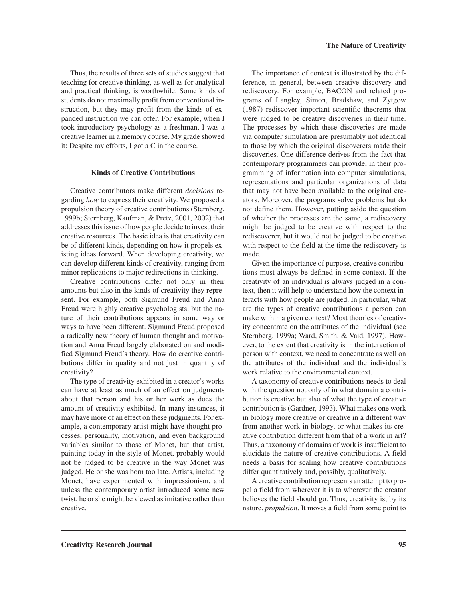Thus, the results of three sets of studies suggest that teaching for creative thinking, as well as for analytical and practical thinking, is worthwhile. Some kinds of students do not maximally profit from conventional instruction, but they may profit from the kinds of expanded instruction we can offer. For example, when I took introductory psychology as a freshman, I was a creative learner in a memory course. My grade showed it: Despite my efforts, I got a C in the course.

#### **Kinds of Creative Contributions**

Creative contributors make different *decisions* regarding *how* to express their creativity. We proposed a propulsion theory of creative contributions (Sternberg, 1999b; Sternberg, Kaufman, & Pretz, 2001, 2002) that addresses this issue of how people decide to invest their creative resources. The basic idea is that creativity can be of different kinds, depending on how it propels existing ideas forward. When developing creativity, we can develop different kinds of creativity, ranging from minor replications to major redirections in thinking.

Creative contributions differ not only in their amounts but also in the kinds of creativity they represent. For example, both Sigmund Freud and Anna Freud were highly creative psychologists, but the nature of their contributions appears in some way or ways to have been different. Sigmund Freud proposed a radically new theory of human thought and motivation and Anna Freud largely elaborated on and modified Sigmund Freud's theory. How do creative contributions differ in quality and not just in quantity of creativity?

The type of creativity exhibited in a creator's works can have at least as much of an effect on judgments about that person and his or her work as does the amount of creativity exhibited. In many instances, it may have more of an effect on these judgments. For example, a contemporary artist might have thought processes, personality, motivation, and even background variables similar to those of Monet, but that artist, painting today in the style of Monet, probably would not be judged to be creative in the way Monet was judged. He or she was born too late. Artists, including Monet, have experimented with impressionism, and unless the contemporary artist introduced some new twist, he or she might be viewed as imitative rather than creative.

The importance of context is illustrated by the difference, in general, between creative discovery and rediscovery. For example, BACON and related programs of Langley, Simon, Bradshaw, and Zytgow (1987) rediscover important scientific theorems that were judged to be creative discoveries in their time. The processes by which these discoveries are made via computer simulation are presumably not identical to those by which the original discoverers made their discoveries. One difference derives from the fact that contemporary programmers can provide, in their programming of information into computer simulations, representations and particular organizations of data that may not have been available to the original creators. Moreover, the programs solve problems but do not define them. However, putting aside the question of whether the processes are the same, a rediscovery might be judged to be creative with respect to the rediscoverer, but it would not be judged to be creative with respect to the field at the time the rediscovery is made.

Given the importance of purpose, creative contributions must always be defined in some context. If the creativity of an individual is always judged in a context, then it will help to understand how the context interacts with how people are judged. In particular, what are the types of creative contributions a person can make within a given context? Most theories of creativity concentrate on the attributes of the individual (see Sternberg, 1999a; Ward, Smith, & Vaid, 1997). However, to the extent that creativity is in the interaction of person with context, we need to concentrate as well on the attributes of the individual and the individual's work relative to the environmental context.

A taxonomy of creative contributions needs to deal with the question not only of in what domain a contribution is creative but also of what the type of creative contribution is (Gardner, 1993). What makes one work in biology more creative or creative in a different way from another work in biology, or what makes its creative contribution different from that of a work in art? Thus, a taxonomy of domains of work is insufficient to elucidate the nature of creative contributions. A field needs a basis for scaling how creative contributions differ quantitatively and, possibly, qualitatively.

A creative contribution represents an attempt to propel a field from wherever it is to wherever the creator believes the field should go. Thus, creativity is, by its nature, *propulsion*. It moves a field from some point to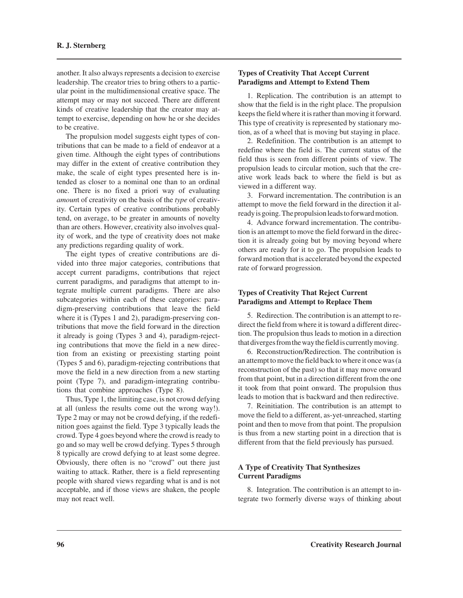another. It also always represents a decision to exercise leadership. The creator tries to bring others to a particular point in the multidimensional creative space. The attempt may or may not succeed. There are different kinds of creative leadership that the creator may attempt to exercise, depending on how he or she decides to be creative.

The propulsion model suggests eight types of contributions that can be made to a field of endeavor at a given time. Although the eight types of contributions may differ in the extent of creative contribution they make, the scale of eight types presented here is intended as closer to a nominal one than to an ordinal one. There is no fixed a priori way of evaluating *amoun*t of creativity on the basis of the *type* of creativity. Certain types of creative contributions probably tend, on average, to be greater in amounts of novelty than are others. However, creativity also involves quality of work, and the type of creativity does not make any predictions regarding quality of work.

The eight types of creative contributions are divided into three major categories, contributions that accept current paradigms, contributions that reject current paradigms, and paradigms that attempt to integrate multiple current paradigms. There are also subcategories within each of these categories: paradigm-preserving contributions that leave the field where it is (Types 1 and 2), paradigm-preserving contributions that move the field forward in the direction it already is going (Types 3 and 4), paradigm-rejecting contributions that move the field in a new direction from an existing or preexisting starting point (Types 5 and 6), paradigm-rejecting contributions that move the field in a new direction from a new starting point (Type 7), and paradigm-integrating contributions that combine approaches (Type 8).

Thus, Type 1, the limiting case, is not crowd defying at all (unless the results come out the wrong way!). Type 2 may or may not be crowd defying, if the redefinition goes against the field. Type 3 typically leads the crowd. Type 4 goes beyond where the crowd is ready to go and so may well be crowd defying. Types 5 through 8 typically are crowd defying to at least some degree. Obviously, there often is no "crowd" out there just waiting to attack. Rather, there is a field representing people with shared views regarding what is and is not acceptable, and if those views are shaken, the people may not react well.

#### **Types of Creativity That Accept Current Paradigms and Attempt to Extend Them**

1. Replication. The contribution is an attempt to show that the field is in the right place. The propulsion keeps the field where it is rather than moving it forward. This type of creativity is represented by stationary motion, as of a wheel that is moving but staying in place.

2. Redefinition. The contribution is an attempt to redefine where the field is. The current status of the field thus is seen from different points of view. The propulsion leads to circular motion, such that the creative work leads back to where the field is but as viewed in a different way.

3. Forward incrementation. The contribution is an attempt to move the field forward in the direction it alreadyisgoing.Thepropulsionleadstoforwardmotion.

4. Advance forward incrementation. The contribution is an attempt to move the field forward in the direction it is already going but by moving beyond where others are ready for it to go. The propulsion leads to forward motion that is accelerated beyond the expected rate of forward progression.

## **Types of Creativity That Reject Current Paradigms and Attempt to Replace Them**

5. Redirection. The contribution is an attempt to redirect the field from where it is toward a different direction. The propulsion thus leads to motion in a direction thatdivergesfromthewaythefieldiscurrentlymoving.

6. Reconstruction/Redirection. The contribution is an attempt to move the field back to where it once was (a reconstruction of the past) so that it may move onward from that point, but in a direction different from the one it took from that point onward. The propulsion thus leads to motion that is backward and then redirective.

7. Reinitiation. The contribution is an attempt to move the field to a different, as-yet-unreached, starting point and then to move from that point. The propulsion is thus from a new starting point in a direction that is different from that the field previously has pursued.

## **A Type of Creativity That Synthesizes Current Paradigms**

8. Integration. The contribution is an attempt to integrate two formerly diverse ways of thinking about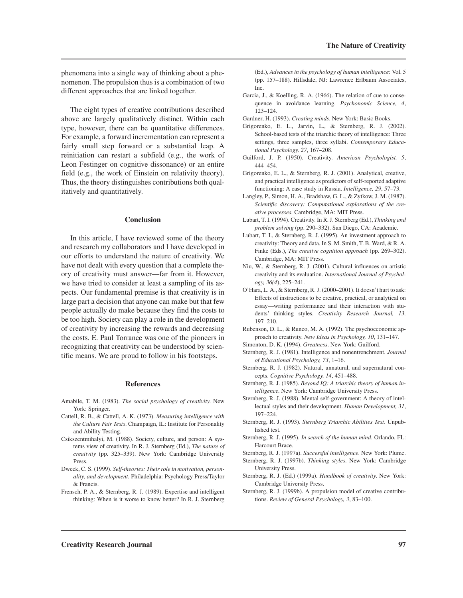phenomena into a single way of thinking about a phenomenon. The propulsion thus is a combination of two different approaches that are linked together.

The eight types of creative contributions described above are largely qualitatively distinct. Within each type, however, there can be quantitative differences. For example, a forward incrementation can represent a fairly small step forward or a substantial leap. A reinitiation can restart a subfield (e.g., the work of Leon Festinger on cognitive dissonance) or an entire field (e.g., the work of Einstein on relativity theory). Thus, the theory distinguishes contributions both qualitatively and quantitatively.

#### **Conclusion**

In this article, I have reviewed some of the theory and research my collaborators and I have developed in our efforts to understand the nature of creativity. We have not dealt with every question that a complete theory of creativity must answer—far from it. However, we have tried to consider at least a sampling of its aspects. Our fundamental premise is that creativity is in large part a decision that anyone can make but that few people actually do make because they find the costs to be too high. Society can play a role in the development of creativity by increasing the rewards and decreasing the costs. E. Paul Torrance was one of the pioneers in recognizing that creativity can be understood by scientific means. We are proud to follow in his footsteps.

#### **References**

- Amabile, T. M. (1983). *The social psychology of creativity*. New York: Springer.
- Cattell, R. B., & Cattell, A. K. (1973). *Measuring intelligence with the Culture Fair Tests*. Champaign, IL: Institute for Personality and Ability Testing.
- Csikszentmihalyi, M. (1988). Society, culture, and person: A systems view of creativity. In R. J. Sternberg (Ed.), *The nature of creativity* (pp. 325–339). New York: Cambridge University Press.
- Dweck, C. S. (1999). *Self-theories: Their role in motivation, personality, and development*. Philadelphia: Psychology Press/Taylor & Francis.
- Frensch, P. A., & Sternberg, R. J. (1989). Expertise and intelligent thinking: When is it worse to know better? In R. J. Sternberg

(Ed.), *Advances in the psychology of human intelligence*: Vol. 5 (pp. 157–188). Hillsdale, NJ: Lawrence Erlbaum Associates, Inc.

- Garcia, J., & Koelling, R. A. (1966). The relation of cue to consequence in avoidance learning. *Psychonomic Science, 4*, 123–124.
- Gardner, H. (1993). *Creating minds*. New York: Basic Books.
- Grigorenko, E. L., Jarvin, L., & Sternberg, R. J. (2002). School-based tests of the triarchic theory of intelligence: Three settings, three samples, three syllabi. *Contemporary Educational Psychology, 27*, 167–208.
- Guilford, J. P. (1950). Creativity. *American Psychologist, 5*, 444–454.
- Grigorenko, E. L., & Sternberg, R. J. (2001). Analytical, creative, and practical intelligence as predictors of self-reported adaptive functioning: A case study in Russia. *Intelligence, 29*, 57–73.
- Langley, P., Simon, H. A., Bradshaw, G. L., & Zytkow, J. M. (1987). *Scientific discovery: Computational explorations of the creative processes*. Cambridge, MA: MIT Press.
- Lubart, T. I. (1994). Creativity. In R. J. Sternberg (Ed.), *Thinking and problem solving* (pp. 290–332). San Diego, CA: Academic.
- Lubart, T. I., & Sternberg, R. J. (1995). An investment approach to creativity: Theory and data. In S. M. Smith, T. B. Ward, & R. A. Finke (Eds.), *The creative cognition approach* (pp. 269–302). Cambridge, MA: MIT Press.
- Niu, W., & Sternberg, R. J. (2001). Cultural influences on artistic creativity and its evaluation. *International Journal of Psychology, 36(4*), 225–241.
- O'Hara, L. A., & Sternberg, R. J. (2000–2001). It doesn't hurt to ask: Effects of instructions to be creative, practical, or analytical on essay—writing performance and their interaction with students' thinking styles. *Creativity Research Journal, 13,* 197–210.
- Rubenson, D. L., & Runco, M. A. (1992). The psychoeconomic approach to creativity. *New Ideas in Psychology, 10*, 131–147.
- Simonton, D. K. (1994). *Greatness*. New York: Guilford.
- Sternberg, R. J. (1981). Intelligence and nonentrenchment. *Journal of Educational Psychology, 73*, 1–16.
- Sternberg, R. J. (1982). Natural, unnatural, and supernatural concepts. *Cognitive Psychology, 14*, 451–488.
- Sternberg, R. J. (1985). *Beyond IQ: A triarchic theory of human intelligence*. New York: Cambridge University Press.
- Sternberg, R. J. (1988). Mental self-government: A theory of intellectual styles and their development. *Human Development, 31*, 197–224.
- Sternberg, R. J. (1993). *Sternberg Triarchic Abilities Test*. Unpublished test.
- Sternberg, R. J. (1995). *In search of the human mind*. Orlando, FL: Harcourt Brace.
- Sternberg, R. J. (1997a). *Successful intelligence*. New York: Plume.
- Sternberg, R. J. (1997b). *Thinking styles*. New York: Cambridge University Press.
- Sternberg, R. J. (Ed.) (1999a). *Handbook of creativity*. New York: Cambridge University Press.
- Sternberg, R. J. (1999b). A propulsion model of creative contributions. *Review of General Psychology, 3*, 83–100.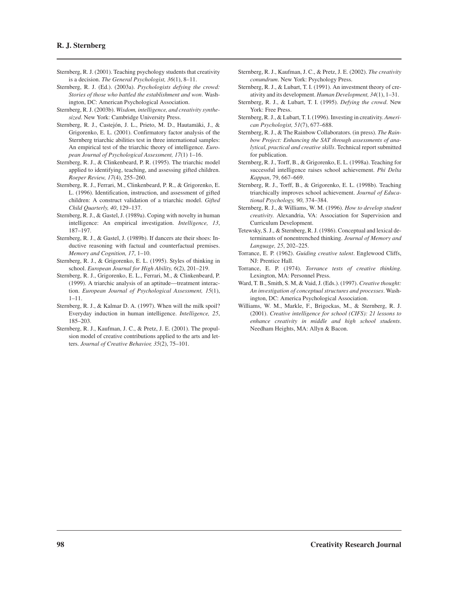- Sternberg, R. J. (2001). Teaching psychology students that creativity is a decision. *The General Psychologist, 36*(1), 8–11.
- Sternberg, R. J. (Ed.). (2003a). *Psychologists defying the crowd: Stories of those who battled the establishment and won*. Washington, DC: American Psychological Association.
- Sternberg, R. J. (2003b). *Wisdom, intelligence, and creativity synthesized*. New York: Cambridge University Press.
- Sternberg, R. J., Castejón, J. L., Prieto, M. D., Hautamäki, J., & Grigorenko, E. L. (2001). Confirmatory factor analysis of the Sternberg triarchic abilities test in three international samples: An empirical test of the triarchic theory of intelligence. *European Journal of Psychological Assessment, 17*(1) 1–16.
- Sternberg, R. J., & Clinkenbeard, P. R. (1995). The triarchic model applied to identifying, teaching, and assessing gifted children. *Roeper Review, 17*(4), 255–260.
- Sternberg, R. J., Ferrari, M., Clinkenbeard, P. R., & Grigorenko, E. L. (1996). Identification, instruction, and assessment of gifted children: A construct validation of a triarchic model. *Gifted Child Quarterly, 40*, 129–137.
- Sternberg, R. J., & Gastel, J. (1989a). Coping with novelty in human intelligence: An empirical investigation. *Intelligence, 13*, 187–197.
- Sternberg, R. J., & Gastel, J. (1989b). If dancers ate their shoes: Inductive reasoning with factual and counterfactual premises. *Memory and Cognition, 17*, 1–10.
- Sternberg, R. J., & Grigorenko, E. L. (1995). Styles of thinking in school. *European Journal for High Ability, 6*(2), 201–219.
- Sternberg, R. J., Grigorenko, E. L., Ferrari, M., & Clinkenbeard, P. (1999). A triarchic analysis of an aptitude—treatment interaction. *European Journal of Psychological Assessment, 15*(1), 1–11.
- Sternberg, R. J., & Kalmar D. A. (1997). When will the milk spoil? Everyday induction in human intelligence. *Intelligence, 25*, 185–203.
- Sternberg, R. J., Kaufman, J. C., & Pretz, J. E. (2001). The propulsion model of creative contributions applied to the arts and letters. *Journal of Creative Behavior, 35*(2), 75–101.
- Sternberg, R. J., Kaufman, J. C., & Pretz, J. E. (2002). *The creativity conundrum*. New York: Psychology Press.
- Sternberg, R. J., & Lubart, T. I. (1991). An investment theory of creativity and its development. *Human Development, 34*(1), 1–31.
- Sternberg, R. J., & Lubart, T. I. (1995). *Defying the crowd*. New York: Free Press.
- Sternberg, R. J., & Lubart, T. I. (1996). Investing in creativity. *American Psychologist, 51*(7), 677–688.
- Sternberg, R. J., & The Rainbow Collaborators. (in press). *The Rainbow Project: Enhancing the SAT through assessments of analytical, practical and creative skills*. Technical report submitted for publication.
- Sternberg, R. J., Torff, B., & Grigorenko, E. L. (1998a). Teaching for successful intelligence raises school achievement. *Phi Delta Kappan*, 79, 667–669.
- Sternberg, R. J., Torff, B., & Grigorenko, E. L. (1998b). Teaching triarchically improves school achievement. *Journal of Educational Psychology, 90*, 374–384.
- Sternberg, R. J., & Williams, W. M. (1996). *How to develop student creativity*. Alexandria, VA: Association for Supervision and Curriculum Development.
- Tetewsky, S. J., & Sternberg, R. J. (1986). Conceptual and lexical determinants of nonentrenched thinking. *Journal of Memory and Language, 25*, 202–225.
- Torrance, E. P. (1962). *Guiding creative talent*. Englewood Cliffs, NJ: Prentice Hall.
- Torrance, E. P. (1974). *Torrance tests of creative thinking*. Lexington, MA: Personnel Press.
- Ward, T. B., Smith, S. M, & Vaid, J. (Eds.). (1997). *Creative thought: An investigation of conceptual structures and processes*. Washington, DC: America Psychological Association.
- Williams, W. M., Markle, F., Brigockas, M., & Sternberg, R. J. (2001). *Creative intelligence for school (CIFS): 21 lessons to enhance creativity in middle and high school students*. Needham Heights, MA: Allyn & Bacon.